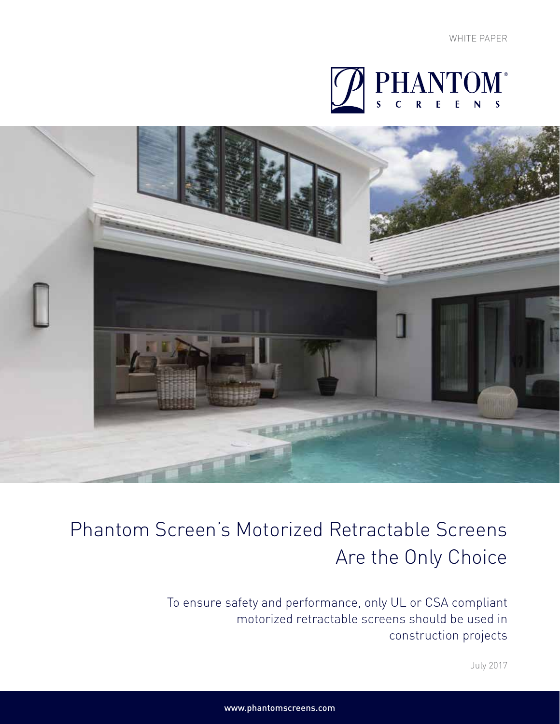



# Phantom Screen's Motorized Retractable Screens Are the Only Choice

To ensure safety and performance, only UL or CSA compliant motorized retractable screens should be used in construction projects

July 2017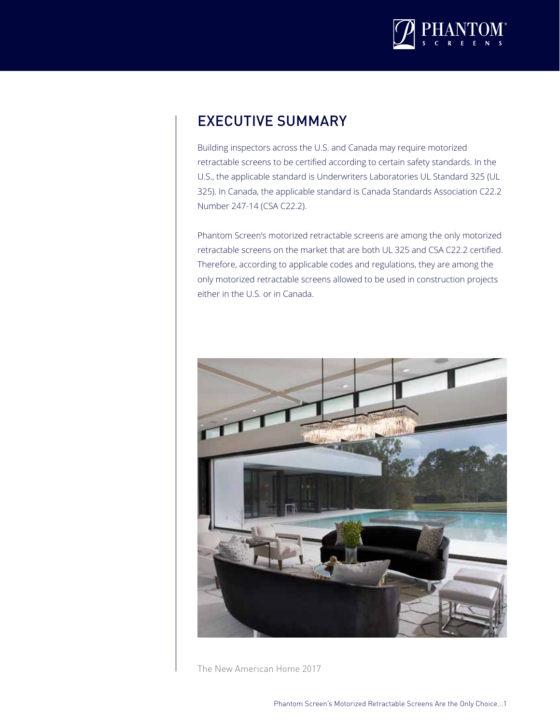

#### EXECUTIVE SUMMARY

Building inspectors across the U.S. and Canada may require motorized retractable screens to be certified according to certain safety standards. In the U.S., the applicable standard is Underwriters Laboratories UL Standard 325 (UL 325). In Canada, the applicable standard is Canada Standards Association C22.2 Number 247-14 (CSA C22.2).

Phantom Screen's motorized retractable screens are among the only motorized retractable screens on the market that are both UL 325 and CSA C22.2 certified. Therefore, according to applicable codes and regulations, they are among the only motorized retractable screens allowed to be used in construction projects either in the U.S. or in Canada.



The New American Home 2017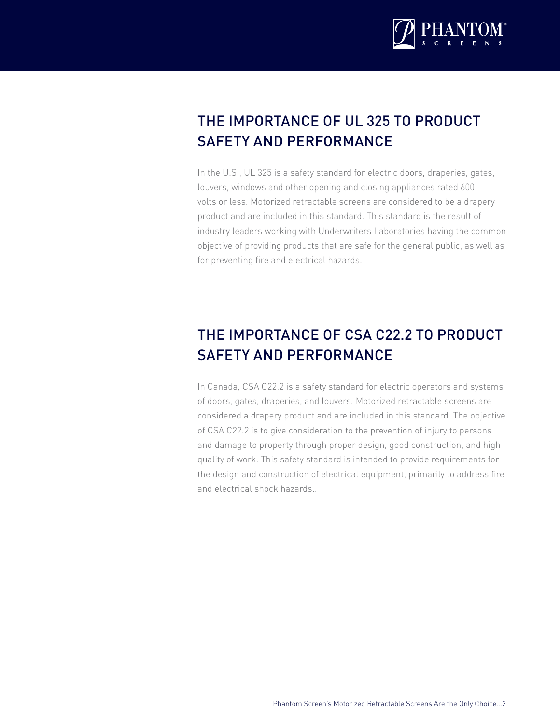

# THE IMPORTANCE OF UL 325 TO PRODUCT SAFETY AND PERFORMANCE

In the U.S., UL 325 is a safety standard for electric doors, draperies, gates, louvers, windows and other opening and closing appliances rated 600 volts or less. Motorized retractable screens are considered to be a drapery product and are included in this standard. This standard is the result of industry leaders working with Underwriters Laboratories having the common objective of providing products that are safe for the general public, as well as for preventing fire and electrical hazards.

# THE IMPORTANCE OF CSA C22.2 TO PRODUCT SAFETY AND PERFORMANCE

In Canada, CSA C22.2 is a safety standard for electric operators and systems of doors, gates, draperies, and louvers. Motorized retractable screens are considered a drapery product and are included in this standard. The objective of CSA C22.2 is to give consideration to the prevention of injury to persons and damage to property through proper design, good construction, and high quality of work. This safety standard is intended to provide requirements for the design and construction of electrical equipment, primarily to address fire and electrical shock hazards..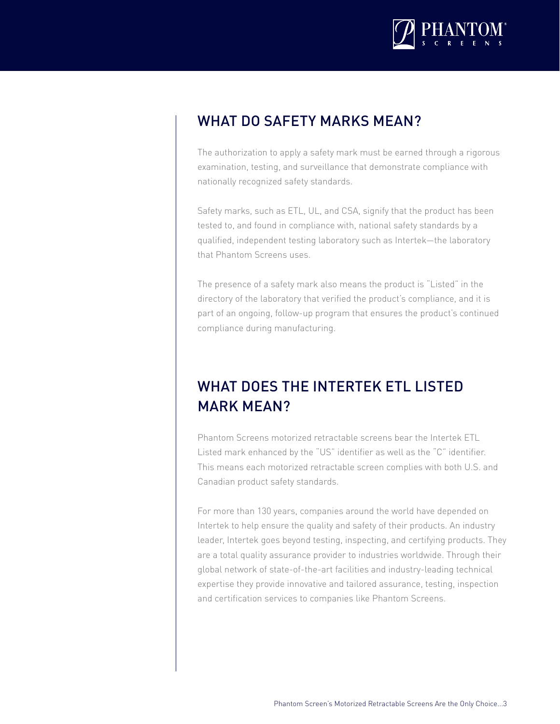

#### WHAT DO SAFETY MARKS MEAN?

The authorization to apply a safety mark must be earned through a rigorous examination, testing, and surveillance that demonstrate compliance with nationally recognized safety standards.

Safety marks, such as ETL, UL, and CSA, signify that the product has been tested to, and found in compliance with, national safety standards by a qualified, independent testing laboratory such as Intertek—the laboratory that Phantom Screens uses.

The presence of a safety mark also means the product is "Listed" in the directory of the laboratory that verified the product's compliance, and it is part of an ongoing, follow-up program that ensures the product's continued compliance during manufacturing.

# WHAT DOES THE INTERTEK ETL LISTED MARK MEAN?

Phantom Screens motorized retractable screens bear the Intertek ETL Listed mark enhanced by the "US" identifier as well as the "C" identifier. This means each motorized retractable screen complies with both U.S. and Canadian product safety standards.

For more than 130 years, companies around the world have depended on Intertek to help ensure the quality and safety of their products. An industry leader, Intertek goes beyond testing, inspecting, and certifying products. They are a total quality assurance provider to industries worldwide. Through their global network of state-of-the-art facilities and industry-leading technical expertise they provide innovative and tailored assurance, testing, inspection and certification services to companies like Phantom Screens.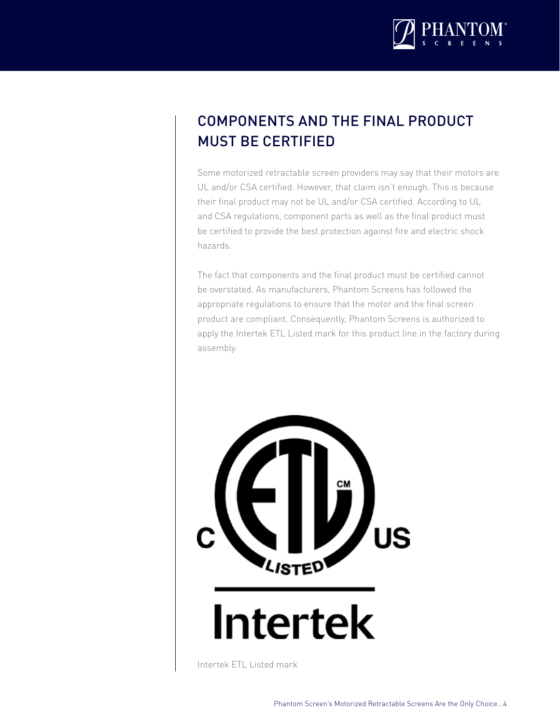

# COMPONENTS AND THE FINAL PRODUCT MUST BE CERTIFIED

Some motorized retractable screen providers may say that their motors are UL and/or CSA certified. However, that claim isn't enough. This is because their final product may not be UL and/or CSA certified. According to UL and CSA regulations, component parts as well as the final product must be certified to provide the best protection against fire and electric shock hazards.

The fact that components and the final product must be certified cannot be overstated. As manufacturers, Phantom Screens has followed the appropriate regulations to ensure that the motor and the final screen product are compliant. Consequently, Phantom Screens is authorized to apply the Intertek ETL Listed mark for this product line in the factory during assembly.



# **Intertek**

Intertek ETL Listed mark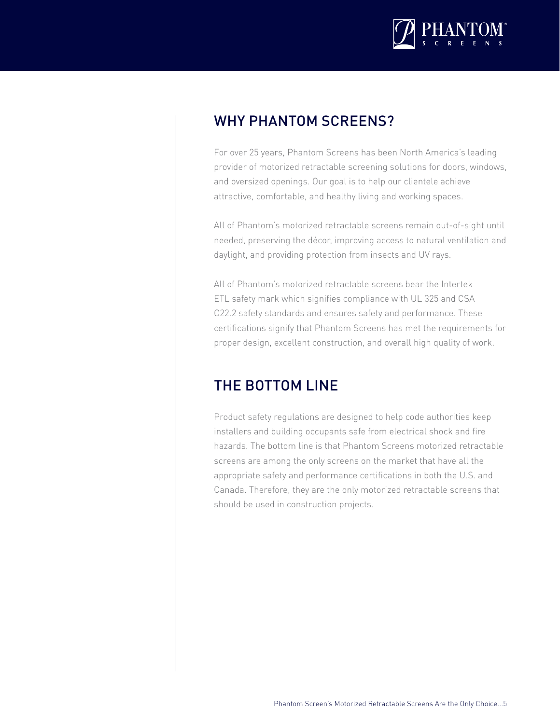

#### WHY PHANTOM SCREENS?

For over 25 years, Phantom Screens has been North America's leading provider of motorized retractable screening solutions for doors, windows, and oversized openings. Our goal is to help our clientele achieve attractive, comfortable, and healthy living and working spaces.

All of Phantom's motorized retractable screens remain out-of-sight until needed, preserving the décor, improving access to natural ventilation and daylight, and providing protection from insects and UV rays.

All of Phantom's motorized retractable screens bear the Intertek ETL safety mark which signifies compliance with UL 325 and CSA C22.2 safety standards and ensures safety and performance. These certifications signify that Phantom Screens has met the requirements for proper design, excellent construction, and overall high quality of work.

#### THE BOTTOM LINE

Product safety regulations are designed to help code authorities keep installers and building occupants safe from electrical shock and fire hazards. The bottom line is that Phantom Screens motorized retractable screens are among the only screens on the market that have all the appropriate safety and performance certifications in both the U.S. and Canada. Therefore, they are the only motorized retractable screens that should be used in construction projects.